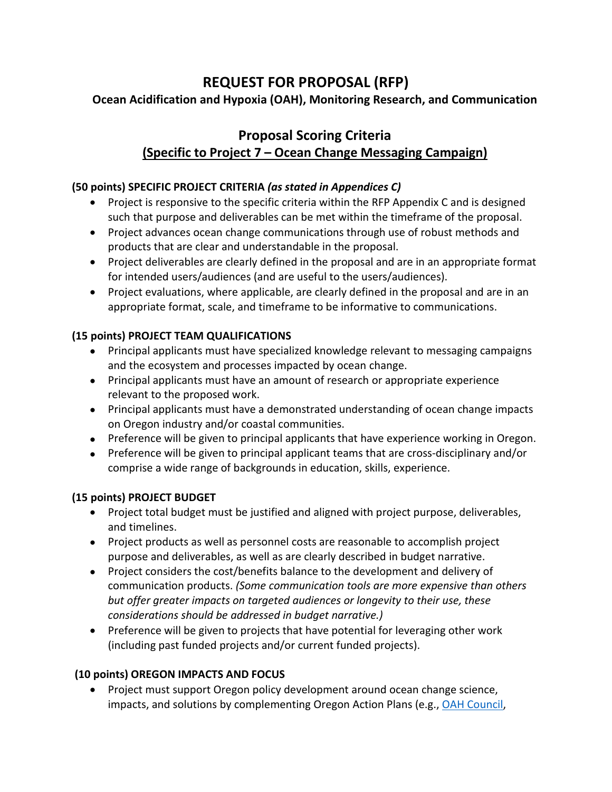# **REQUEST FOR PROPOSAL (RFP)**

# **Ocean Acidification and Hypoxia (OAH), Monitoring Research, and Communication**

# **Proposal Scoring Criteria (Specific to Project 7 – Ocean Change Messaging Campaign)**

#### **(50 points) SPECIFIC PROJECT CRITERIA** *(as stated in Appendices C)*

- Project is responsive to the specific criteria within the RFP Appendix C and is designed such that purpose and deliverables can be met within the timeframe of the proposal.
- Project advances ocean change communications through use of robust methods and products that are clear and understandable in the proposal.
- Project deliverables are clearly defined in the proposal and are in an appropriate format for intended users/audiences (and are useful to the users/audiences).
- Project evaluations, where applicable, are clearly defined in the proposal and are in an appropriate format, scale, and timeframe to be informative to communications.

## **(15 points) PROJECT TEAM QUALIFICATIONS**

- Principal applicants must have specialized knowledge relevant to messaging campaigns and the ecosystem and processes impacted by ocean change.
- Principal applicants must have an amount of research or appropriate experience relevant to the proposed work.
- Principal applicants must have a demonstrated understanding of ocean change impacts on Oregon industry and/or coastal communities.
- Preference will be given to principal applicants that have experience working in Oregon.
- Preference will be given to principal applicant teams that are cross-disciplinary and/or comprise a wide range of backgrounds in education, skills, experience.

#### **(15 points) PROJECT BUDGET**

- Project total budget must be justified and aligned with project purpose, deliverables, and timelines.
- Project products as well as personnel costs are reasonable to accomplish project purpose and deliverables, as well as are clearly described in budget narrative.
- Project considers the cost/benefits balance to the development and delivery of communication products. *(Some communication tools are more expensive than others but offer greater impacts on targeted audiences or longevity to their use, these considerations should be addressed in budget narrative.)*
- Preference will be given to projects that have potential for leveraging other work (including past funded projects and/or current funded projects).

## **(10 points) OREGON IMPACTS AND FOCUS**

• Project must support Oregon policy development around ocean change science, impacts, and solutions by complementing Oregon Action Plans (e.g., [OAH Council,](https://www.oregonocean.info/index.php/oah-reports)